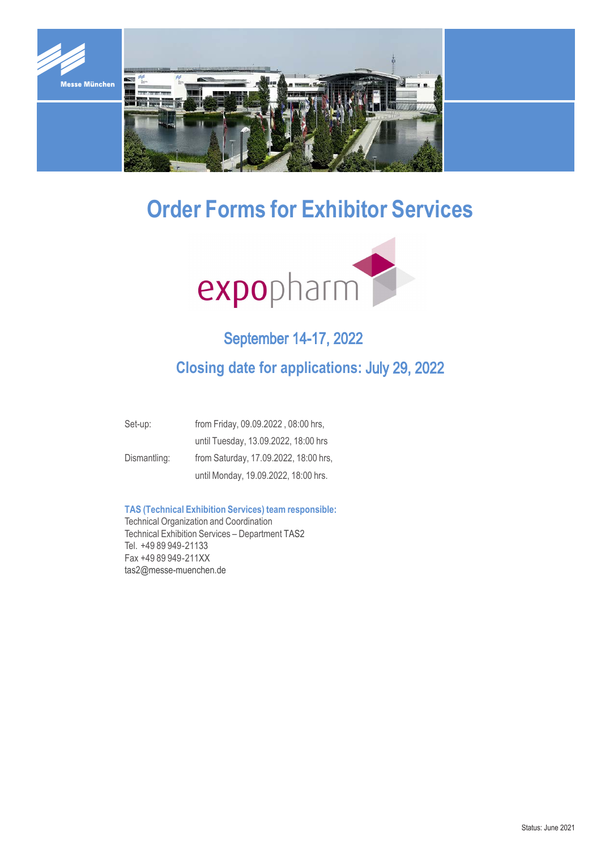

# **Order Forms for Exhibitor Services**



## September 14-17, 2022

## **Closing date for applications:** July 29, 2022

| Set-up:      | from Friday, 09.09.2022, 08:00 hrs,   |
|--------------|---------------------------------------|
|              | until Tuesday, 13.09.2022, 18:00 hrs  |
| Dismantling: | from Saturday, 17.09.2022, 18:00 hrs, |
|              | until Monday, 19.09.2022, 18:00 hrs.  |

### **TAS (Technical Exhibition Services) team responsible:**

Technical Organization and Coordination Technical Exhibition Services – Department TAS2 Tel. +49 89 949-21133 Fax +49 89 949 - 211XX tas2@messe-muenchen.de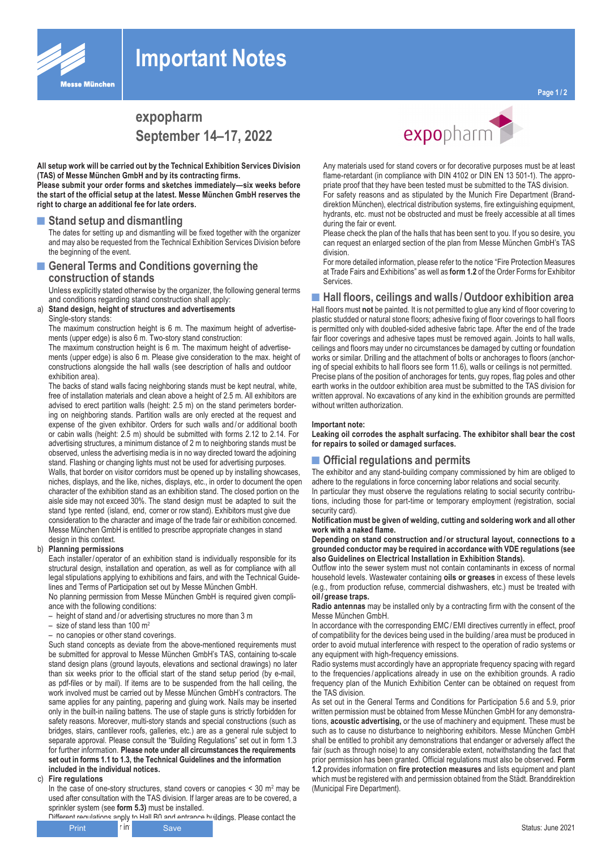

# **Important Notes**

**All setup work will be carried out by the Technical Exhibition Services Division (TAS) of Messe München GmbH and by its contracting firms.**

**Please submit your order forms and sketches immediately—six weeks before the start of the official setup at the latest. Messe München GmbH reserves the right to charge an additional fee for late orders.**

#### **■Stand setup and dismantling**

The dates for setting up and dismantling will be fixed together with the organizer and may also be requested from the Technical Exhibition Services Division before the beginning of the event.

### ■ General Terms and Conditions governing the **construction of stands**

Unless explicitly stated otherwise by the organizer, the following general terms and conditions regarding stand construction shall apply:

a) **Stand design, height of structures and advertisements**

#### Single-story stands:

The maximum construction height is 6 m. The maximum height of advertisements (upper edge) is also 6 m. Two-story stand construction:

The maximum construction height is 6 m. The maximum height of advertisements (upper edge) is also 6 m. Please give consideration to the max. height of constructions alongside the hall walls (see description of halls and outdoor exhibition area).

The backs of stand walls facing neighboring stands must be kept neutral, white, free of installation materials and clean above a height of 2.5 m. All exhibitors are advised to erect partition walls (height: 2.5 m) on the stand perimeters bordering on neighboring stands. Partition walls are only erected at the request and expense of the given exhibitor. Orders for such walls and / or additional booth or cabin walls (height: 2.5 m) should be submitted with forms 2.12 to 2.14. For advertising structures, a minimum distance of 2 m to neighboring stands must be observed, unless the advertising media is in no way directed toward the adjoining stand. Flashing or changing lights must not be used for advertising purposes. Walls, that border on visitor corridors must be opened up by installing showcases, niches, displays, and the like, niches, displays, etc., in order to document the open character of the exhibition stand as an exhibition stand. The closed portion on the aisle side may not exceed 30%. The stand design must be adapted to suit the stand type rented (island, end, corner or row stand). Exhibitors must give due consideration to the character and image of the trade fair or exhibition concerned. Messe München GmbH is entitled to prescribe appropriate changes in stand design in this context. **EXPODPHENTM**<br>
September 14–17, 2022<br>
work will be carried out by the Technical Exhibition Services<br>
tests Minchen GmbH and by its contract Exhibition Services<br>
tests Minchen GmbH and by its contract Exhibition Services<br>
b

#### b) **Planning permissions**

Each installer / operator of an exhibition stand is individually responsible for its structural design, installation and operation, as well as for compliance with all legal stipulations applying to exhibitions and fairs, and with the Technical Guidelines and Terms of Participation set out by Messe München GmbH.

No planning permission from Messe München GmbH is required given compliance with the following conditions:

- height of stand and / or advertising structures no more than 3 m
- size of stand less than 100  $m<sup>2</sup>$
- no canopies or other stand coverings.

Such stand concepts as deviate from the above-mentioned requirements must be submitted for approval to Messe München GmbH's TAS, containing to-scale stand design plans (ground layouts, elevations and sectional drawings) no later than six weeks prior to the official start of the stand setup period (by e-mail, as pdf-files or by mail). If items are to be suspended from the hall ceiling, the work involved must be carried out by Messe München GmbH's contractors. The same applies for any painting, papering and gluing work. Nails may be inserted only in the built-in nailing battens. The use of staple guns is strictly forbidden for safety reasons. Moreover, multi-story stands and special constructions (such as bridges, stairs, cantilever roofs, galleries, etc.) are as a general rule subject to separate approval. Please consult the "Building Regulations" set out in form 1.3 for further information. **Please note under all circumstances the requirements set out in forms 1.1 to 1.3, the Technical Guidelines and the information included in the individual notices.**

c) **Fire regulations**

In the case of one-story structures, stand covers or canopies  $<$  30 m<sup>2</sup> may be used after consultation with the TAS division. If larger areas are to be covered, a sprinkler system (see **form 5.3)** must be installed.

Different requisitions apply to Hall B0 and entrance buildings. Please contact the



Any materials used for stand covers or for decorative purposes must be at least flame-retardant (in compliance with DIN 4102 or DIN EN 13 501-1). The appropriate proof that they have been tested must be submitted to the TAS division. For safety reasons and as stipulated by the Munich Fire Department (Branddirektion München), electrical distribution systems, fire extinguishing equipment, hydrants, etc. must not be obstructed and must be freely accessible at all times during the fair or event.

Please check the plan of the halls that has been sent to you. If you so desire, you can request an enlarged section of the plan from Messe München GmbH's TAS division.

For more detailed information, please refer to the notice "Fire Protection Measures at Trade Fairs and Exhibitions" as well as **form 1.2** of the Order Forms for Exhibitor **Services** 

#### ■ Hall floors, ceilings and walls **/ Outdoor exhibition area**

Hall floors must **not** be painted. It is not permitted to glue any kind of floor covering to plastic studded or natural stone floors; adhesive fixing of floor coverings to hall floors is permitted only with doubled-sided adhesive fabric tape. After the end of the trade fair floor coverings and adhesive tapes must be removed again. Joints to hall walls, ceilings and floors may under no circumstances be damaged by cutting or foundation works or similar. Drilling and the attachment of bolts or anchorages to floors (anchoring of special exhibits to hall floors see form 11.6), walls or ceilings is not permitted. Precise plans of the position of anchorages for tents, guy ropes, flag poles and other earth works in the outdoor exhibition area must be submitted to the TAS division for written approval. No excavations of any kind in the exhibition grounds are permitted without written authorization.

#### **Important note:**

**Leaking oil corrodes the asphalt surfacing. The exhibitor shall bear the cost for repairs to soiled or damaged surfaces.**

#### **■Official regulations and permits**

The exhibitor and any stand-building company commissioned by him are obliged to adhere to the regulations in force concerning labor relations and social security.

In particular they must observe the regulations relating to social security contributions, including those for part-time or temporary employment (registration, social security card).

#### **Notification must be given of welding, cutting and soldering work and all other work with a naked flame.**

**Depending on stand construction and /or structural layout, connections to a grounded conductor may be required in accordance with VDE regulations (see also Guidelines on Electrical Installation in Exhibition Stands).**

Outflow into the sewer system must not contain contaminants in excess of normal household levels. Wastewater containing **oils or greases** in excess of these levels (e.g., from production refuse, commercial dishwashers, etc.) must be treated with **oil /grease traps.**

**Radio antennas** may be installed only by a contracting firm with the consent of the Messe München GmbH.

In accordance with the corresponding EMC/EMI directives currently in effect, proof of compatibility for the devices being used in the building / area must be produced in order to avoid mutual interference with respect to the operation of radio systems or any equipment with high-frequency emissions.

Radio systems must accordingly have an appropriate frequency spacing with regard to the frequencies / applications already in use on the exhibition grounds. A radio frequency plan of the Munich Exhibition Center can be obtained on request from the TAS division.

As set out in the General Terms and Conditions for Participation 5.6 and 5.9, prior written permission must be obtained from Messe München GmbH for any demonstrations, **acoustic advertising,** or the use of machinery and equipment. These must be such as to cause no disturbance to neighboring exhibitors. Messe München GmbH shall be entitled to prohibit any demonstrations that endanger or adversely affect the fair (such as through noise) to any considerable extent, notwithstanding the fact that prior permission has been granted. Official regulations must also be observed. **Form 1.2** provides information on **fire protection measures** and lists equipment and plant which must be registered with and permission obtained from the Städt. Branddirektion (Municipal Fire Department).

**G** Status: June 2021<br> **Gave** Save Save Save Save Status: June 2021